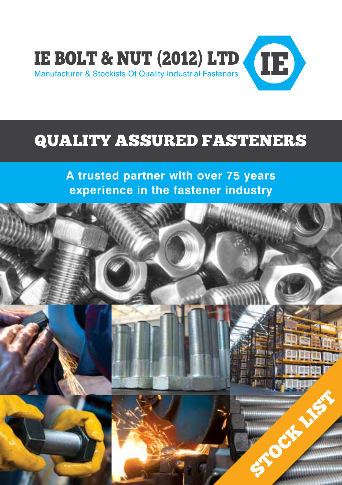

## QUALITY ASSURED FASTENERS

**A trusted partner with over 75 years experience in the fastener industry**

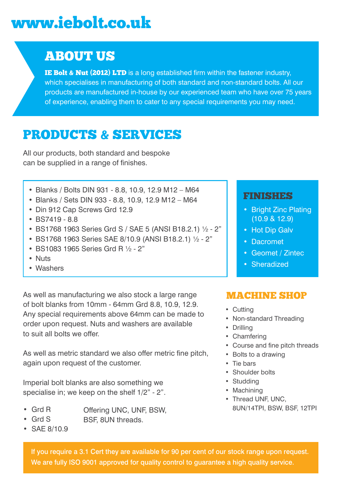# www.iebolt.co.uk

#### ABOUT US

IE Bolt & Nut **(**2012**)** LTD is a long established firm within the fastener industry, which specialises in manufacturing of both standard and non-standard bolts. All our products are manufactured in-house by our experienced team who have over 75 years of experience, enabling them to cater to any special requirements you may need.

#### PRODUCTS & SERVICES

All our products, both standard and bespoke can be supplied in a range of finishes.

- • Blanks / Bolts DIN 931 8.8, 10.9, 12.9 M12 M64
- • Blanks / Sets DIN 933 8.8, 10.9, 12.9 M12 M64
- Din 912 Cap Screws Grd 12.9
- • BS7419 8.8
- • BS1768 1963 Series Grd S / SAE 5 (ANSI B18.2.1) ½ 2"
- • BS1768 1963 Series SAE 8/10.9 (ANSI B18.2.1) ½ 2"
- • BS1083 1965 Series Grd R ½ 2"
- • Nuts
- • Washers

As well as manufacturing we also stock a large range of bolt blanks from 10mm - 64mm Grd 8.8, 10.9, 12.9. Any special requirements above 64mm can be made to order upon request. Nuts and washers are available to suit all bolts we offer.

As well as metric standard we also offer metric fine pitch, again upon request of the customer.

Imperial bolt blanks are also something we specialise in; we keep on the shelf 1/2" - 2".

- Offering UNC, UNF, BSW, • Grd R
- BSF, 8UN threads. • Grd S
- SAE 8/10.9

#### If you require a 3.1 Cert they are available for 90 per cent of our stock range upon request. We are fully ISO 9001 approved for quality control to guarantee a high quality service.

#### FINISHES

- Bright Zinc Plating (10.9 & 12.9)
- Hot Dip Galv
- Dacromet
- Geomet / Zintec
- Sheradized

#### MACHINE SHOP

- • Cutting
- Non-standard Threading
- • Drilling
- • Chamfering
- • Course and fine pitch threads
- • Bolts to a drawing
- • Tie bars
- • Shoulder bolts
- • Studding
- Machining
- Thread UNF, UNC. 8UN/14TPI, BSW, BSF, 12TPI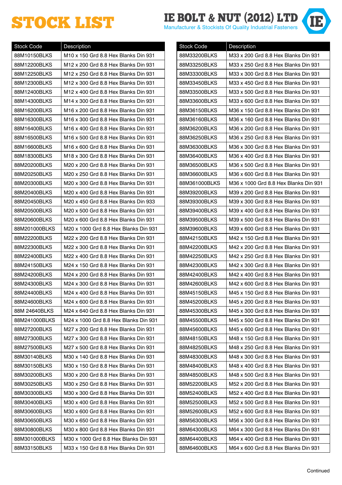# STOCK LIST **IE BOLT & NUT (2012) LTD**

| <b>Stock Code</b> | Description                           |
|-------------------|---------------------------------------|
| 88M10150BLKS      | M10 x 150 Grd 8.8 Hex Blanks Din 931  |
| 88M12200BLKS      | M12 x 200 Grd 8.8 Hex Blanks Din 931  |
| 88M12250BLKS      | M12 x 250 Grd 8.8 Hex Blanks Din 931  |
| 88M12300BLKS      | M12 x 300 Grd 8.8 Hex Blanks Din 931  |
| 88M12400BLKS      | M12 x 400 Grd 8.8 Hex Blanks Din 931  |
| 88M14300BLKS      | M14 x 300 Grd 8.8 Hex Blanks Din 931  |
| 88M16200BLKS      | M16 x 200 Grd 8.8 Hex Blanks Din 931  |
| 88M16300BLKS      | M16 x 300 Grd 8.8 Hex Blanks Din 931  |
| 88M16400BLKS      | M16 x 400 Grd 8.8 Hex Blanks Din 931  |
| 88M16500BLKS      | M16 x 500 Grd 8.8 Hex Blanks Din 931  |
| 88M16600BLKS      | M16 x 600 Grd 8.8 Hex Blanks Din 931  |
| 88M18300BLKS      | M18 x 300 Grd 8.8 Hex Blanks Din 931  |
| 88M20200BLKS      | M20 x 200 Grd 8.8 Hex Blanks Din 931  |
| 88M20250BLKS      | M20 x 250 Grd 8.8 Hex Blanks Din 931  |
| 88M20300BLKS      | M20 x 300 Grd 8.8 Hex Blanks Din 931  |
| 88M20400BLKS      | M20 x 400 Grd 8.8 Hex Blanks Din 931  |
| 88M20450BLKS      | M20 x 450 Grd 8.8 Hex Blanks Din 933  |
| 88M20500BLKS      | M20 x 500 Grd 8.8 Hex Blanks Din 931  |
| 88M20600BLKS      | M20 x 600 Grd 8.8 Hex Blanks Din 931  |
| 88M201000BLKS     | M20 x 1000 Grd 8.8 Hex Blanks Din 931 |
| 88M22200BLKS      | M22 x 200 Grd 8.8 Hex Blanks Din 931  |
| 88M22300BLKS      | M22 x 300 Grd 8.8 Hex Blanks Din 931  |
| 88M22400BLKS      | M22 x 400 Grd 8.8 Hex Blanks Din 931  |
| 88M24150BLKS      | M24 x 150 Grd 8.8 Hex Blanks Din 931  |
| 88M24200BLKS      | M24 x 200 Grd 8.8 Hex Blanks Din 931  |
| 88M24300BLKS      | M24 x 300 Grd 8.8 Hex Blanks Din 931  |
| 88M24400BLKS      | M24 x 400 Grd 8.8 Hex Blanks Din 931  |
| 88M24600BLKS      | M24 x 600 Grd 8.8 Hex Blanks Din 931  |
| 88M 24640BLKS     | M24 x 640 Grd 8.8 Hex Blanks Din 931  |
| 88M241000BLKS     | M24 x 1000 Grd 8.8 Hex Blanks Din 931 |
| 88M27200BLKS      | M27 x 200 Grd 8.8 Hex Blanks Din 931  |
| 88M27300BLKS      | M27 x 300 Grd 8.8 Hex Blanks Din 931  |
| 88M27500BLKS      | M27 x 500 Grd 8.8 Hex Blanks Din 931  |
| 88M30140BLKS      | M30 x 140 Grd 8.8 Hex Blanks Din 931  |
| 88M30150BLKS      | M30 x 150 Grd 8.8 Hex Blanks Din 931  |
| 88M30200BLKS      | M30 x 200 Grd 8.8 Hex Blanks Din 931  |
| 88M30250BLKS      | M30 x 250 Grd 8.8 Hex Blanks Din 931  |
| 88M30300BLKS      | M30 x 300 Grd 8.8 Hex Blanks Din 931  |
| 88M30400BLKS      | M30 x 400 Grd 8.8 Hex Blanks Din 931  |
| 88M30600BLKS      | M30 x 600 Grd 8.8 Hex Blanks Din 931  |
| 88M30650BLKS      | M30 x 650 Grd 8.8 Hex Blanks Din 931  |
| 88M30800BLKS      | M30 x 800 Grd 8.8 Hex Blanks Din 931  |
| 88M301000BLKS     | M30 x 1000 Grd 8.8 Hex Blanks Din 931 |
| 88M33150BLKS      | M33 x 150 Grd 8.8 Hex Blanks Din 931  |

| <b>Stock Code</b> | Description                           |
|-------------------|---------------------------------------|
| 88M33200BLKS      | M33 x 200 Grd 8.8 Hex Blanks Din 931  |
| 88M33250BLKS      | M33 x 250 Grd 8.8 Hex Blanks Din 931  |
| 88M33300BLKS      | M33 x 300 Grd 8.8 Hex Blanks Din 931  |
| 88M33450BLKS      | M33 x 450 Grd 8.8 Hex Blanks Din 931  |
| 88M33500BLKS      | M33 x 500 Grd 8.8 Hex Blanks Din 931  |
| 88M33600BLKS      | M33 x 600 Grd 8.8 Hex Blanks Din 931  |
| 88M36150BLKS      | M36 x 150 Grd 8.8 Hex Blanks Din 931  |
| 88M36160BLKS      | M36 x 160 Grd 8.8 Hex Blanks Din 931  |
| 88M36200BLKS      | M36 x 200 Grd 8.8 Hex Blanks Din 931  |
| 88M36250BLKS      | M36 x 250 Grd 8.8 Hex Blanks Din 931  |
| 88M36300BLKS      | M36 x 300 Grd 8.8 Hex Blanks Din 931  |
| 88M36400BLKS      | M36 x 400 Grd 8.8 Hex Blanks Din 931  |
| 88M36500BLKS      | M36 x 500 Grd 8.8 Hex Blanks Din 931  |
| 88M36600BLKS      | M36 x 600 Grd 8.8 Hex Blanks Din 931  |
| 88M361000BLKS     | M36 x 1000 Grd 8.8 Hex Blanks Din 931 |
| 88M39200BLKS      | M39 x 200 Grd 8.8 Hex Blanks Din 931  |
| 88M39300BLKS      | M39 x 300 Grd 8.8 Hex Blanks Din 931  |
| 88M39400BLKS      | M39 x 400 Grd 8.8 Hex Blanks Din 931  |
| 88M39500BLKS      | M39 x 500 Grd 8.8 Hex Blanks Din 931  |
| 88M39600BLKS      | M39 x 600 Grd 8.8 Hex Blanks Din 931  |
| 88M42150BLKS      | M42 x 150 Grd 8.8 Hex Blanks Din 931  |
| 88M42200BLKS      | M42 x 200 Grd 8.8 Hex Blanks Din 931  |
| 88M42250BLKS      | M42 x 250 Grd 8.8 Hex Blanks Din 931  |
| 88M42300BLKS      | M42 x 300 Grd 8.8 Hex Blanks Din 931  |
| 88M42400BLKS      | M42 x 400 Grd 8.8 Hex Blanks Din 931  |
| 88M42600BLKS      | M42 x 600 Grd 8.8 Hex Blanks Din 931  |
| 88M45150BLKS      | M45 x 150 Grd 8.8 Hex Blanks Din 931  |
| 88M45200BLKS      | M45 x 200 Grd 8.8 Hex Blanks Din 931  |
| 88M45300BLKS      | M45 x 300 Grd 8.8 Hex Blanks Din 931  |
| 88M45500BLKS      | M45 x 500 Grd 8.8 Hex Blanks Din 931  |
| 88M45600BLKS      | M45 x 600 Grd 8.8 Hex Blanks Din 931  |
| 88M48150BLKS      | M48 x 150 Grd 8.8 Hex Blanks Din 931  |
| 88M48250BLKS      | M48 x 250 Grd 8.8 Hex Blanks Din 931  |
| 88M48300BLKS      | M48 x 300 Grd 8.8 Hex Blanks Din 931  |
| 88M48400BLKS      | M48 x 400 Grd 8.8 Hex Blanks Din 931  |
| 88M48500BLKS      | M48 x 500 Grd 8.8 Hex Blanks Din 931  |
| 88M52200BLKS      | M52 x 200 Grd 8.8 Hex Blanks Din 931  |
| 88M52400BLKS      | M52 x 400 Grd 8.8 Hex Blanks Din 931  |
| 88M52500BLKS      | M52 x 500 Grd 8.8 Hex Blanks Din 931  |
| 88M52600BLKS      | M52 x 600 Grd 8.8 Hex Blanks Din 931  |
| 88M56300BLKS      | M56 x 300 Grd 8.8 Hex Blanks Din 931  |
| 88M64300BLKS      | M64 x 300 Grd 8.8 Hex Blanks Din 931  |
| 88M64400BLKS      | M64 x 400 Grd 8.8 Hex Blanks Din 931  |
| 88M64600BLKS      | M64 x 600 Grd 8.8 Hex Blanks Din 931  |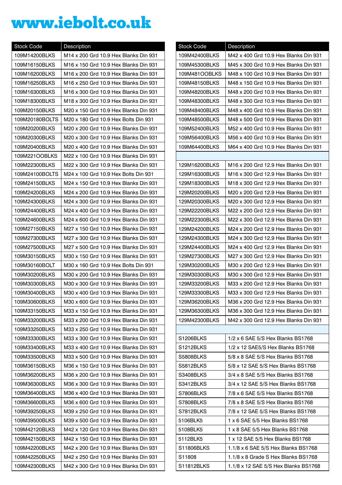# www.iebolt.co.uk

| <b>Stock Code</b> | Description                           |
|-------------------|---------------------------------------|
| 109M14200BLKS     | M14 x 200 Grd 10.9 Hex Blanks Din 931 |
| 109M16150BLKS     | M16 x 150 Grd 10.9 Hex Blanks Din 931 |
| 109M16200BLKS     | M16 x 200 Grd 10.9 Hex Blanks Din 931 |
| 109M16250BLKS     | M16 x 250 Grd 10.9 Hex Blanks Din 931 |
| 109M16300BLKS     | M16 x 300 Grd 10.9 Hex Blanks Din 931 |
| 109M18300BLKS     | M18 x 300 Grd 10.9 Hex Blanks Din 931 |
| 109M20150BLKS     | M20 x 150 Grd 10.9 Hex Blanks Din 931 |
| 109M20180BOLTS    | M20 x 180 Grd 10.9 Hex Bolts Din 931  |
| 109M20200BLKS     | M20 x 200 Grd 10.9 Hex Blanks Din 931 |
| 109M20300BLKS     | M20 x 300 Grd 10.9 Hex Blanks Din 931 |
| 109M20400BLKS     | M20 x 400 Grd 10.9 Hex Blanks Din 931 |
| 109M221OOBLKS     | M22 x 100 Grd 10.9 Hex Blanks Din 931 |
| 109M22300BLKS     | M22 x 300 Grd 10.9 Hex Blanks Din 931 |
| 109M24100BOLTS    | M24 x 100 Grd 10.9 Hex Bolts Din 931  |
| 109M24150BLKS     | M24 x 150 Grd 10.9 Hex Blanks Din 931 |
| 109M24200BLKS     | M24 x 200 Grd 10.9 Hex Blanks Din 931 |
| 109M24300BLKS     | M24 x 300 Grd 10.9 Hex Blanks Din 931 |
| 109M24400BLKS     | M24 x 400 Grd 10.9 Hex Blanks Din 931 |
| 109M24600BLKS     | M24 x 600 Grd 10.9 Hex Blanks Din 931 |
| 109M27150BLKS     | M27 x 150 Grd 10.9 Hex Blanks Din 931 |
| 109M27300BLKS     | M27 x 300 Grd 10.9 Hex Blanks Din 931 |
| 109M27500BLKS     | M27 x 500 Grd 10.9 Hex Blanks Din 931 |
| 109M30150BLKS     | M30 x 150 Grd 10.9 Hex Blanks Din 931 |
| 109M30160BOLT     | M30 x 160 Grd 10.9 Hex Bolts Din 931  |
| 109M30200BLKS     | M30 x 200 Grd 10.9 Hex Blanks Din 931 |
| 109M30300BLKS     | M30 x 300 Grd 10.9 Hex Blanks Din 931 |
| 109M30400BLKS     | M30 x 400 Grd 10.9 Hex Blanks Din 931 |
| 109M30600BLKS     | M30 x 600 Grd 10.9 Hex Blanks Din 931 |
| 109M33150BLKS     | M33 x 150 Grd 10.9 Hex Blanks Din 931 |
| 109M33200BLKS     | M33 x 200 Grd 10.9 Hex Blanks Din 931 |
| 109M33250BLKS     | M33 x 250 Grd 10.9 Hex Blanks Din 931 |
| 109M33300BLKS     | M33 x 300 Grd 10.9 Hex Blanks Din 931 |
| 109M33400BLKS     | M33 x 400 Grd 10.9 Hex Blanks Din 931 |
| 109M33500BLKS     | M33 x 500 Grd 10.9 Hex Blanks Din 931 |
| 109M36150BLKS     | M36 x 150 Grd 10.9 Hex Blanks Din 931 |
| 109M36200BLKS     | M36 x 200 Grd 10.9 Hex Blanks Din 931 |
| 109M36300BLKS     | M36 x 300 Grd 10.9 Hex Blanks Din 931 |
| 109M36400BLKS     | M36 x 400 Grd 10.9 Hex Blanks Din 931 |
| 109M36600BLKS     | M36 x 600 Grd 10.9 Hex Blanks Din 931 |
| 109M39250BLKS     | M39 x 250 Grd 10.9 Hex Blanks Din 931 |
| 109M39500BLKS     | M39 x 500 Grd 10.9 Hex Blanks Din 931 |
| 109M42120BLKS     | M42 x 120 Grd 10.9 Hex Blanks Din 931 |
| 109M42150BLKS     | M42 x 150 Grd 10.9 Hex Blanks Din 931 |
| 109M42200BLKS     | M42 x 200 Grd 10.9 Hex Blanks Din 931 |
| 109M42250BLKS     | M42 x 250 Grd 10.9 Hex Blanks Din 931 |
| 109M42300BLKS     | M42 x 300 Grd 10.9 Hex Blanks Din 931 |

| <b>Stock Code</b> | Description                           |
|-------------------|---------------------------------------|
| 109M42400BLKS     | M42 x 400 Grd 10.9 Hex Blanks Din 931 |
| 109M45300BLKS     | M45 x 300 Grd 10.9 Hex Blanks Din 931 |
| 109M481OOBLKS     | M48 x 100 Grd 10.9 Hex Blanks Din 931 |
| 109M48150BLKS     | M48 x 150 Grd 10.9 Hex Blanks Din 931 |
| 109M48200BLKS     | M48 x 200 Grd 10.9 Hex Blanks Din 931 |
| 109M48300BLKS     | M48 x 300 Grd 10.9 Hex Blanks Din 931 |
| 109M48400BLKS     | M48 x 400 Grd 10.9 Hex Blanks Din 931 |
| 109M48500BLKS     | M48 x 500 Grd 10.9 Hex Blanks Din 931 |
| 109M52400BLKS     | M52 x 400 Grd 10.9 Hex Blanks Din 931 |
| 109M56400BLKS     | M56 x 400 Grd 10.9 Hex Blanks Din 931 |
| 109M64400BLKS     | M64 x 400 Grd 10.9 Hex Blanks Din 931 |
|                   |                                       |
| 129M16200BLKS     | M16 x 200 Grd 12.9 Hex Blanks Din 931 |
| 129M16300BLKS     | M16 x 300 Grd 12.9 Hex Blanks Din 931 |
| 129M18300BLKS     | M18 x 300 Grd 12.9 Hex Blanks Din 931 |
| 129M20200BLKS     | M20 x 200 Grd 12.9 Hex Blanks Din 931 |
| 129M20300BLKS     | M20 x 300 Grd 12.9 Hex Blanks Din 931 |
| 129M22200BLKS     | M22 x 200 Grd 12.9 Hex Blanks Din 931 |
| 129M22300BLKS     | M22 x 300 Grd 12.9 Hex Blanks Din 931 |
| 129M24200BLKS     | M24 x 200 Grd 12.9 Hex Blanks Din 931 |
| 129M24300BLKS     | M24 x 300 Grd 12.9 Hex Blanks Din 931 |
| 129M24400BLKS     | M24 x 400 Grd 12.9 Hex Blanks Din 931 |
| 129M27300BLKS     | M27 x 300 Grd 12.9 Hex Blanks Din 931 |
| 129M30200BLKS     | M30 x 200 Grd 12.9 Hex Blanks Din 931 |
| 129M30300BLKS     | M30 x 300 Grd 12.9 Hex Blanks Din 931 |
| 129M33200BLKS     | M33 x 200 Grd 12.9 Hex Blanks Din 931 |
| 129M33300BLKS     | M33 x 300 Grd 12.9 Hex Blanks Din 931 |
| 129M36200BLKS     | M36 x 200 Grd 12.9 Hex Blanks Din 931 |
| 129M36300BLKS     | M36 x 300 Grd 12.9 Hex Blanks Din 931 |
| 129M42300BLKS     | M42 x 300 Grd 12.9 Hex Blanks Din 931 |
|                   |                                       |
| S1206BLKS         | 1/2 x 6 SAE 5/S Hex Blanks BS1768     |
| S1212BLKS         | 1/2 x 12 SAE5/S Hex Blanks BS1768     |
| S5808BLKS         | 5/8 x 8 SAE 5/S Hex Blanks BS1768     |
| S5812BLKS         | 5/8 x 12 SAE 5/S Hex Blanks BS1768    |
| S3408BLKS         | 3/4 x 8 SAE 5/S Hex Blanks BS1768     |
| S3412BLKS         | 3/4 x 12 SAE 5/S Hex Blanks BS1768    |
| S7806BLKS         | 7/8 x 6 SAE 5/S Hex Blanks BS1768     |
| S7808BLKS         | 7/8 x 8 SAE 5/S Hex Blanks BS1768     |
| S7812BLKS         | 7/8 x 12 SAE 5/S Hex Blanks BS1768    |
| 5106BLK5          | 1 x 6 SAE 5/5 Hex Blanks BS1768       |
| 5108BLK5          | 1 x 8 SAE 5/5 Hex Blanks BS1768       |
| 5112BLK5          | 1 x 12 SAE 5/5 Hex Blanks BS1768      |
| S11806BLKS        | 1.1/8 x 6 SAE 5/S Hex Blanks BS1768   |
| S11808            | 1.1/8 x 8 Grade S Hex Blanks BS1768   |
| S11812BLKS        | 1.1/8 x 12 SAE 5/S Hex Blanks BS1768  |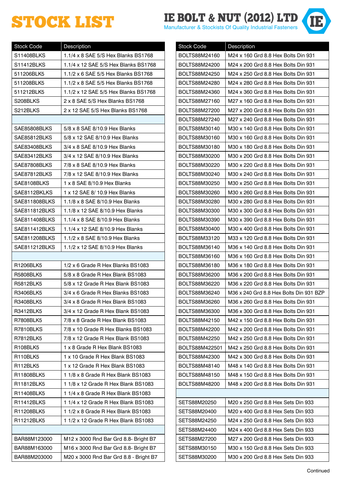# **STOCK LIST IS A NUT (2012) LTD**

| <b>Stock Code</b> | Description                            |
|-------------------|----------------------------------------|
| S11408BLKS        | 1.1/4 x 8 SAE 5/S Hex Blanks BS1768    |
| S11412BLKS        | 1.1/4 x 12 SAE 5/S Hex Blanks BS1768   |
| 511206BLK5        | 1.1/2 x 6 SAE 5/5 Hex Blanks BS1768    |
| 511208BLK5        | 1.1/2 x 8 SAE 5/5 Hex Blanks BS1768    |
| 511212BLK5        | 1.1/2 x 12 SAE 5/5 Hex Blanks BS1768   |
| S208BLKS          | 2 x 8 SAE 5/S Hex Blanks BS1768        |
| S212BLKS          | 2 x 12 SAE 5/S Hex Blanks BS1768       |
|                   |                                        |
| SAE85808BLKS      | 5/8 x 8 SAE 8/10.9 Hex Blanks          |
| SAE85812BLKS      | 5/8 x 12 SAE 8/10.9 Hex Blanks         |
| SAE83408BLKS      | 3/4 x 8 SAE 8/10.9 Hex Blanks          |
| SAE83412BLKS      | 3/4 x 12 SAE 8/10.9 Hex Blanks         |
| SAE87808BLKS      | 7/8 x 8 SAE 8/10.9 Hex Blanks          |
| SAE87812BLKS      | 7/8 x 12 SAE 8/10.9 Hex Blanks         |
| SAE8108BLKS       | 1 x 8 SAE 8/10.9 Hex Blanks            |
| SAE8112BKLKS      | 1 x 12 SAE 8/ 10.9 Hex Blanks          |
| SAE811808BLKS     | 1.1/8 x 8 SAE 8/10.9 Hex Blanks        |
| SAE811812BLKS     | 1.1/8 x 12 SAE 8/10.9 Hex Blanks       |
| SAE811408BLKS     | 1.1/4 x 8 SAE 8/10.9 Hex Blanks        |
| SAE811412BLKS     | 1.1/4 x 12 SAE 8/10.9 Hex Blanks       |
| SAE811208BLKS     | 1.1/2 x 8 SAE 8/10.9 Hex Blanks        |
| SAE811212BLKS     | 1.1/2 x 12 SAE 8/10.9 Hex Blanks       |
|                   |                                        |
| R1206BLK5         | 1/2 x 6 Grade R Hex Blanks BS1083      |
| <b>R5808BLK5</b>  | 5/8 x 8 Grade R Hex Blank BS1083       |
| R5812BLK5         | 5/8 x 12 Grade R Hex Blank BS1083      |
| R3406BLK5         | 3/4 x 6 Grade R Hex Blanks BS1083      |
| R3408BLK5         | 3/4 x 8 Grade R Hex Blank BS1083       |
| R3412BLK5         | 3/4 x 12 Grade R Hex Blank BS1083      |
| <b>R7808BLK5</b>  | 7/8 x 8 Grade R Hex Blank BS1083       |
| R7810BLKS         | 7/8 x 10 Grade R Hex Blanks BS1083     |
| R7812BLK5         | 7/8 x 12 Grade R Hex Blank BS1083      |
| R108BLK5          | 1 x 8 Grade R Hex Blank BS1083         |
| R110BLK5          | 1 x 10 Grade R Hex Blank BS1083        |
| R112BLK5          | 1 x 12 Grade R Hex Blank BS1083        |
| R11808BLK5        | 1 1/8 x 8 Grade R Hex Blank BS1083     |
| R11812BLK5        | 1 1/8 x 12 Grade R Hex Blank BS1083    |
| R11408BLK5        | 1 1/4 x 8 Grade R Hex Blank BS1083     |
| R11412BLKS        | 1 1/4 x 12 Grade R Hex Blank BS1083    |
| R11208BLK5        | 1 1/2 x 8 Grade R Hex Blank BS1083     |
| R11212BLK5        | 1 1/2 x 12 Grade R Hex Blank BS1083    |
|                   |                                        |
| BAR88M123000      | M12 x 3000 Rnd Bar Grd 8.8- Bright B7  |
| BAR88M163000      | M16 x 3000 Rnd Bar Grd 8.8- Bright B7  |
| BAR88M203000      | M20 x 3000 Rnd Bar Grd 8.8 - Bright B7 |

| <b>Stock Code</b> | Description                             |
|-------------------|-----------------------------------------|
| BOLTS88M24160     | M24 x 160 Grd 8.8 Hex Bolts Din 931     |
| BOLTS88M24200     | M24 x 200 Grd 8.8 Hex Bolts Din 931     |
| BOLTS88M24250     | M24 x 250 Grd 8.8 Hex Bolts Din 931     |
| BOLTS88M24280     | M24 x 280 Grd 8.8 Hex Bolts Din 931     |
| BOLTS88M24360     | M24 x 360 Grd 8.8 Hex Bolts Din 931     |
| BOLTS88M27160     | M27 x 160 Grd 8.8 Hex Bolts Din 931     |
| BOLTS88M27200     | M27 x 200 Grd 8.8 Hex Bolts Din 931     |
| BOLTS88M27240     | M27 x 240 Grd 8.8 Hex Bolts Din 931     |
| BOLTS88M30140     | M30 x 140 Grd 8.8 Hex Bolts Din 931     |
| BOLTS88M30160     | M30 x 160 Grd 8.8 Hex Bolts Din 931     |
| BOLTS88M30180     | M30 x 180 Grd 8.8 Hex Bolts Din 931     |
| BOLTS88M30200     | M30 x 200 Grd 8.8 Hex Bolts Din 931     |
| BOLTS88M30220     | M30 x 220 Grd 8.8 Hex Bolts Din 931     |
| BOLTS88M30240     | M30 x 240 Grd 8.8 Hex Bolts Din 931     |
| BOLTS88M30250     | M30 x 250 Grd 8.8 Hex Bolts Din 931     |
| BOLTS88M30260     | M30 x 260 Grd 8.8 Hex Bolts Din 931     |
| BOLTS88M30280     | M30 x 280 Grd 8.8 Hex Bolts Din 931     |
| BOLTS88M30300     | M30 x 300 Grd 8.8 Hex Bolts Din 931     |
| BOLTS88M30390     | M30 x 390 Grd 8.8 Hex Bolts Din 931     |
| BOLTS88M30400     | M30 x 400 Grd 8.8 Hex Bolts Din 931     |
| BOLTS88M33120     | M33 x 120 Grd 8.8 Hex Bolts Din 931     |
| BOLTS88M36140     | M36 x 140 Grd 8.8 Hex Bolts Din 931     |
| BOLTS88M36160     | M36 x 160 Grd 8.8 Hex Bolts Din 931     |
| BOLTS88M36180     | M36 x 180 Grd 8.8 Hex Bolts Din 931     |
| BOLTS88M36200     | M36 x 200 Grd 8.8 Hex Bolts Din 931     |
| BOLTS88M36220     | M36 x 220 Grd 8.8 Hex Bolts Din 931     |
| BOLTS88M36240     | M36 x 240 Grd 8.8 Hex Bolts Din 931 BZP |
| BOLTS88M36260     | M36 x 260 Grd 8.8 Hex Bolts Din 931     |
| BOLTS88M36300     | M36 x 300 Grd 8.8 Hex Bolts Din 931     |
| BOLTS88M42150     | M42 x 150 Grd 8.8 Hex Bolts Din 931     |
| BOLTS88M42200     | M42 x 200 Grd 8.8 Hex Bolts Din 931     |
| BOLTS88M42250     | M42 x 250 Grd 8.8 Hex Bolts Din 931     |
| BOLTS88M422501    | M42 x 250 Grd 8.8 Hex Bolts Din 931     |
| BOLTS88M42300     | M42 x 300 Grd 8.8 Hex Bolts Din 931     |
| BOLTS88M48140     | M48 x 140 Grd 8.8 Hex Bolts Din 931     |
| BOLTS88M48150     | M48 x 150 Grd 8.8 Hex Bolts Din 931     |
| BOLTS88M48200     | M48 x 200 Grd 8.8 Hex Bolts Din 931     |
|                   |                                         |
| SETS88M20250      | M20 x 250 Grd 8.8 Hex Sets Din 933      |
| SETS88M20400      | M20 x 400 Grd 8.8 Hex Sets Din 933      |
| SETS88M24250      | M24 x 250 Grd 8.8 Hex Sets Din 933      |
| SETS88M24400      | M24 x 400 Grd 8.8 Hex Sets Din 933      |
| SETS88M27200      | M27 x 200 Grd 8.8 Hex Sets Din 933      |
| SETS88M30150      | M30 x 150 Grd 8.8 Hex Sets Din 933      |
| SETS88M30200      | M30 x 200 Grd 8.8 Hex Sets Din 933      |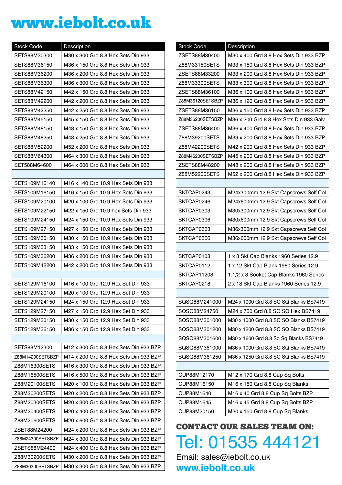## www.iebolt.co.uk

| <b>Stock Code</b> | Description                            |
|-------------------|----------------------------------------|
| SETS88M30300      | M30 x 300 Grd 8.8 Hex Sets Din 933     |
| SETS88M36150      | M36 x 150 Grd 8.8 Hex Sets Din 933     |
| SETS88M36200      | M36 x 200 Grd 8.8 Hex Sets Din 933     |
| SETS88M36300      | M36 x 300 Grd 8.8 Hex Sets Din 933     |
| SETS88M42150      | M42 x 150 Grd 8.8 Hex Sets Din 933     |
| SETS88M42200      | M42 x 200 Grd 8.8 Hex Sets Din 933     |
| SETS88M42250      | M42 x 250 Grd 8.8 Hex Sets Din 933     |
| SETS88M45150      | M45 x 150 Grd 8.8 Hex Sets Din 933     |
| SETS88M48150      | M48 x 150 Grd 8.8 Hex Sets Din 933     |
| SETS88M48250      | M48 x 250 Grd 8.8 Hex Sets Din 933     |
| SETS88M52200      | M52 x 200 Grd 8.8 Hex Sets Din 933     |
| SETS88M64300      | M64 x 300 Grd 8.8 Hex Sets Din 933     |
| SET588M64600      | M64 x 600 Grd 8.8 Hex Sets Din 933     |
|                   |                                        |
| SETS109M16140     | M16 x 140 Grd 10.9 Hex Sets Din 933    |
| SETS109M16150     | M16 x 150 Grd 10.9 Hex Sets Din 933    |
| SETS109M20100     | M20 x 100 Grd 10.9 Hex Sets Din 933    |
| SETS109M22150     | M22 x 150 Grd 10.9 hex Sets Din 933    |
| SETS109M24150     | M24 x 150 Grd 10.9 Hex Sets Din 933    |
| SETS109M27150     | M27 x 150 Grd 10.9 Hex Sets Din 933    |
| SETS109M30150     | M30 x 150 Grd 10.9 Hex Sets Din 933    |
| SETS109M33150     | M33 x 150 Grd 10.9 Hex Sets Din 933    |
| SETS109M36200     | M36 x 200 Grd 10.9 Hex Sets Din 933    |
| SETS109M42200     | M42 x 200 Grd 10.9 Hex Sets Din 933    |
|                   |                                        |
| SETS129M16100     | M16 x 100 Grd 12.9 Hex Set Din 933     |
| SETS129M20100     | M20 x 100 Grd 12.9 Hex Set Din 933     |
| SETS129M24150     | M24 x 150 Grd 12.9 Hex Set Din 933     |
| SETS129M27150     | M27 x 150 Grd 12.9 Hex Set Din 933     |
| SETS129M30150     | M30 x 150 Grd 12.9 Hex Set Din 933     |
| SETS129M36150     | M36 x 150 Grd 12.9 Hex Set Din 933     |
|                   |                                        |
| SETS88M12300      | M12 x 300 Grd 8.8 Hex Sets Din 933 BZP |
| Z88M14200SETSBZP  | M14 x 200 Grd 8.8 Hex Sets Din 933 BZP |
| Z88M16300SETS     | M16 x 300 Grd 8.8 Hex Sets Din 933 BZP |
| Z88M16500SETS     | M16 x 500 Grd 8.8 Hex Sets Din 933 BZP |
| Z88M20100SETS     | M20 x 100 Grd 8.8 Hex Sets Din 933 BZP |
| Z88M20200SETS     | M20 x 200 Grd 8.8 Hex Sets Din 933 BZP |
| Z88M20300SETS     | M20 x 300 Grd 8.8 Hex Sets Din 933 BZP |
| Z88M20400SETS     | M20 x 400 Grd 8.8 Hex Sets Din 933 BZP |
| Z88M20600SETS     | M20 x 600 Grd 8.8 Hex Sets Din 933 BZP |
| ZSET88M24200      | M24 x 200 Grd 8.8 Hex Sets Din 933 BZP |
| Z88M24300SETSBZP  | M24 x 300 Grd 8.8 Hex Sets Din 933 BZP |
| ZSETS88M24400     | M24 x 400 Grd 8.8 Hex Sets Din 933 BZP |
| Z88M30200SETS     | M30 x 200 Grd 8.8 Hex Sets Din 933 BZP |
| Z88M30300SETSBZP  | M30 x 300 Grd 8.8 Hex Sets Din 933 BZP |

| <b>Stock Code</b> | Description                             |
|-------------------|-----------------------------------------|
| ZSETS88M30400     | M30 x 400 Grd 8.8 Hex Sets Din 933 BZP  |
| Z88M33150SETS     | M33 x 150 Grd 8.8 Hex Sets Din 933 BZP  |
| ZSETS88M33200     | M33 x 200 Grd 8.8 Hex Sets Din 933 BZP  |
| Z88M33300SETS     | M33 x 300 Grd 8.8 Hex Sets Din 933 BZP  |
| ZSETS88M36100     | M36 x 100 Grd 8.8 Hex Sets Din 933 BZP  |
| Z88M36120SETSBZP  | M36 x 120 Grd 8.8 Hex Sets Din 933 BZP  |
| ZSETS88M36150     | M36 x 150 Grd 8.8 Hex Sets Din 933 BZP  |
| Z88M36200SETSBZP  | M36 x 200 Grd 8.8 Hex Sets Din 933 Galv |
| ZSETS88M36400     | M36 x 400 Grd 8.8 Hex Sets Din 933 BZP  |
| Z88M39200SETS     | M39 x 200 Grd 8.8 Hex Sets Din 933 BZP  |
| Z88M42200SETS     | M42 x 200 Grd 8.8 Hex Sets Din 933 BZP  |
| Z88M45200SETSBZP  | M45 x 200 Grd 8.8 Hex Sets Din 933 BZP  |
| ZSETS88M48200     | M48 x 200 Grd 8.8 Hex Sets Din 933 BZP  |
| Z88M52200SETS     | M52 x 200 Grd 8.8 Hex Sets Din 933 BZP  |
|                   |                                         |
| SKTCAP0243        | M24x300mm 12.9 Skt Capscrews Self Col   |
| SKTCAP0246        | M24x600mm 12.9 Skt Capscrews Self Col   |
| SKTCAP0303        | M30x300mm 12.9 Skt Capscrews Self Col   |
| SKTCAP0306        | M30x600mm 12.9 Skt Capscrews Self Col   |
| SKTCAP0363        | M36x300mm 12.9 Skt Capscrews Self Col   |
| SKTCAP0366        | M36x600mm 12.9 Skt Capscrews Self Col   |
|                   |                                         |
| SKTCAP0108        | 1 x 8 Skt Cap Blanks 1960 Series 12.9   |
| SKTCAP0112        | 1 x 12 Skt Cap Blank 1960 Series 12.9   |
| SKTCAP11208       | 1.1/2 x 8 Socket Cap Blanks 1960 Series |
| SKTCAP0218        | 2 x 18 Skt Cap Blanks 1960 Series 12.9  |
|                   |                                         |
| SQSQ88M241000     | M24 x 1000 Grd 8.8 SQ SQ Blanks BS7419  |
| SQSQ88M24750      | M24 x 750 Grd 8.8 SQ SQ Hex BS7419      |
| SQSQ88M301000     | M30 x 1000 Grd 8.8 SQ SQ Blanks BS7419  |
| SQSQ88M301200     | M30 x 1200 Grd 8.8 SQ SQ Blanks BS7419  |
| SQSQ88M301600     | M30 x 1600 Grd 8.8 Sq Sq Blanks BS7419  |
| SQSQ88M361000     | M36 x 1000 Grd 8.8 SQ SQ Blanks BS7419  |
| SQSQ88M361250     | M36 x 1250 Grd 8.8 SQ SQ Blanks BS7419  |
|                   |                                         |
| CUP88M12170       | M12 x 170 Grd 8.8 Cup Sq Bolts          |
| CUP88M16150       | M16 x 150 Grd 8.8 Cup Sq Blanks         |
| CUP88M1640        | M16 x 40 Grd 8.8 Cup Sq Bolts BZP       |
| CUP88M1645        | M16 x 45 Grd 8.8 Cup Sq Bolts BZP       |
| CUP88M20150       | M20 x 150 Grd 8.8 Cup Sq Blanks         |

CONTACT OUR SALES TEAM ON: Tel: 01535 444121

Email: sales@iebolt.co.uk **www.iebolt.co.uk**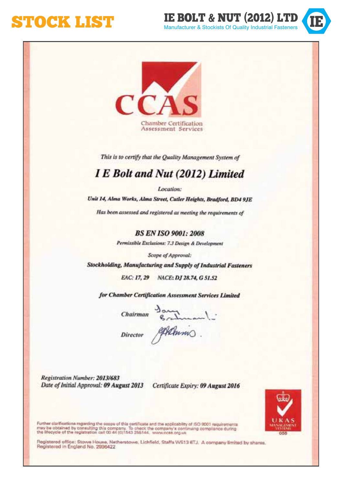**STOCK LIST STOCK STOCK MANUFACT ALL STOCK MANUFACT AS INCOLLUPT & NUT** 





This is to certify that the Quality Management System of

#### I E Bolt and Nut (2012) Limited

Location:

Unit 14, Alma Works, Alma Street, Cutler Heights, Bradford, BD4 9JE

Has been assessed and registered as meeting the requirements of

**BS EN ISO 9001: 2008** 

Permissible Exclusions: 7.3 Design & Development

Scope of Approval:

Stockholding, Manufacturing and Supply of Industrial Fasteners

EAC: 17, 29 NACE: DJ 28.74, G 51.52

for Chamber Certification Assessment Services Limited

 $Chairman \frac{3m}{6}$ 

Director Alanis.

Registration Number: 2013/683 Date of Initial Approval: 09 August 2013 Certificate Expiry: 09 August 2016



Further clarifications regarding the scope of this certificate and the applicability of ISO 9003 requirements<br>may be obtained by consulting this company. To check the company's continuing complision during<br>the fillocycle o

Registered office: Stown House, Netherstowe, Lichfield, Staffa WS13 6TJ, A company limited by shares. Registered in England No. 2996422